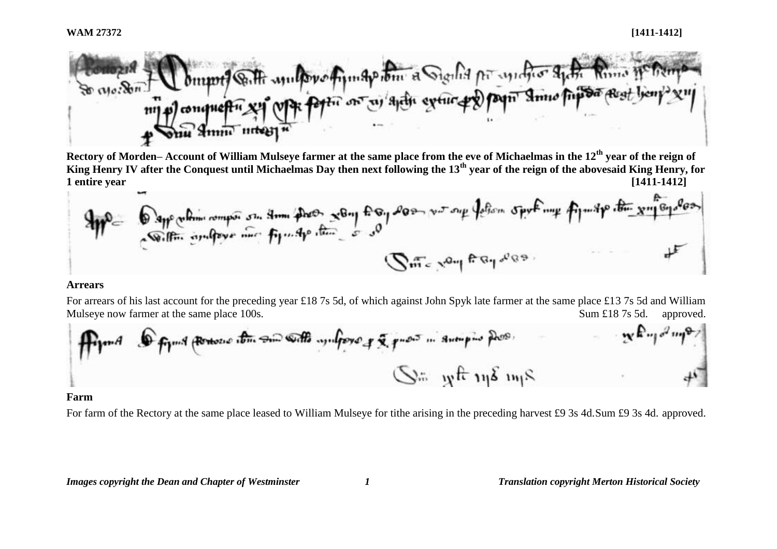

**Rectory of Morden– Account of William Mulseye farmer at the same place from the eve of Michaelmas in the 12th year of the reign of King Henry IV after the Conquest until Michaelmas Day then next following the 13th year of the reign of the abovesaid King Henry, for 1 entire year [1411-1412]**

$$
\frac{1}{\sqrt{m}}\int_{0}^{\infty} \frac{\cos(\theta-\theta)}{\sin(\theta-\theta)} d\theta = \frac{1}{\sqrt{m}}\int_{0}^{\infty} \frac{1}{\sqrt{m}}\int_{0}^{\infty} \frac{1}{\sqrt{m}}\int_{0}^{\infty} \frac{1}{\sqrt{m}}\int_{0}^{\infty} \frac{1}{\sqrt{m}}\int_{0}^{\infty} \frac{1}{\sqrt{m}}\int_{0}^{\infty} \frac{1}{\sqrt{m}}\int_{0}^{\infty} \frac{1}{\sqrt{m}}\int_{0}^{\infty} \frac{1}{\sqrt{m}}\int_{0}^{\infty} \frac{1}{\sqrt{m}}\int_{0}^{\infty} \frac{1}{\sqrt{m}}\int_{0}^{\infty} \frac{1}{\sqrt{m}}\int_{0}^{\infty} \frac{1}{\sqrt{m}}\int_{0}^{\infty} \frac{1}{\sqrt{m}}\int_{0}^{\infty} \frac{1}{\sqrt{m}}\int_{0}^{\infty} \frac{1}{\sqrt{m}}\int_{0}^{\infty} \frac{1}{\sqrt{m}}\int_{0}^{\infty} \frac{1}{\sqrt{m}}\int_{0}^{\infty} \frac{1}{\sqrt{m}}\int_{0}^{\infty} \frac{1}{\sqrt{m}}\int_{0}^{\infty} \frac{1}{\sqrt{m}}\int_{0}^{\infty} \frac{1}{\sqrt{m}}\int_{0}^{\infty} \frac{1}{\sqrt{m}}\int_{0}^{\infty} \frac{1}{\sqrt{m}}\int_{0}^{\infty} \frac{1}{\sqrt{m}}\int_{0}^{\infty} \frac{1}{\sqrt{m}}\int_{0}^{\infty} \frac{1}{\sqrt{m}}\int_{0}^{\infty} \frac{1}{\sqrt{m}}\int_{0}^{\infty} \frac{1}{\sqrt{m}}\int_{0}^{\infty} \frac{1}{\sqrt{m}}\int_{0}^{\infty} \frac{1}{\sqrt{m}}\int_{0}^{\infty} \frac{1}{\sqrt{m}}\int_{0}^{\infty} \frac{1}{\sqrt{m}}\int_{0}^{\infty} \frac{1}{\sqrt{m}}\int_{0}^{\infty} \frac{1}{\sqrt{m}}\int_{0}^{\infty} \frac{1}{\sqrt{m}}\int_{0}^{\infty}
$$

### **Arrears**

For arrears of his last account for the preceding year £18 7s 5d, of which against John Spyk late farmer at the same place £13 7s 5d and William Mulseye now farmer at the same place 100s. Sum £18 7s 5d. approved.

\n
$$
\int_{\mathbb{R}} \int_{\mathbb{R}} \int_{\mathbb{R}} \int_{\mathbb{R}} \int_{\mathbb{R}} \int_{\mathbb{R}} \int_{\mathbb{R}} \int_{\mathbb{R}} \int_{\mathbb{R}} \int_{\mathbb{R}} \int_{\mathbb{R}} \int_{\mathbb{R}} \int_{\mathbb{R}} \int_{\mathbb{R}} \int_{\mathbb{R}} \int_{\mathbb{R}} \int_{\mathbb{R}} \int_{\mathbb{R}} \int_{\mathbb{R}} \int_{\mathbb{R}} \int_{\mathbb{R}} \int_{\mathbb{R}} \int_{\mathbb{R}} \int_{\mathbb{R}} \int_{\mathbb{R}} \int_{\mathbb{R}} \int_{\mathbb{R}} \int_{\mathbb{R}} \int_{\mathbb{R}} \int_{\mathbb{R}} \int_{\mathbb{R}} \int_{\mathbb{R}} \int_{\mathbb{R}} \int_{\mathbb{R}} \int_{\mathbb{R}} \int_{\mathbb{R}} \int_{\mathbb{R}} \int_{\mathbb{R}} \int_{\mathbb{R}} \int_{\mathbb{R}} \int_{\mathbb{R}} \int_{\mathbb{R}} \int_{\mathbb{R}} \int_{\mathbb{R}} \int_{\mathbb{R}} \int_{\mathbb{R}} \int_{\mathbb{R}} \int_{\mathbb{R}} \int_{\mathbb{R}} \int_{\mathbb{R}} \int_{\mathbb{R}} \int_{\mathbb{R}} \int_{\mathbb{R}} \int_{\mathbb{R}} \int_{\mathbb{R}} \int_{\mathbb{R}} \int_{\mathbb{R}} \int_{\mathbb{R}} \int_{\mathbb{R}} \int_{\mathbb{R}} \int_{\mathbb{R}} \int_{\mathbb{R}} \int_{\mathbb{R}} \int_{\mathbb{R}} \int_{\mathbb{R}} \int_{\mathbb{R}} \int_{\mathbb{R}} \int_{\mathbb{R}} \int_{\mathbb{R}} \int_{\mathbb{R}} \int_{\mathbb{R}} \int_{\mathbb{R}} \int_{\mathbb{R}} \int_{\mathbb{R}} \int_{\mathbb{R}} \int_{\mathbb{R}} \int_{\mathbb{R}} \int_{\mathbb{R}} \int_{\mathbb{R}} \int_{\mathbb{R}} \int_{\mathbb{R}} \int_{\mathbb{R}} \int_{\mathbb{R}} \int_{\mathbb{R}} \int_{\
$$

### **Farm**

For farm of the Rectory at the same place leased to William Mulseye for tithe arising in the preceding harvest £9 3s 4d. Sum £9 3s 4d. approved.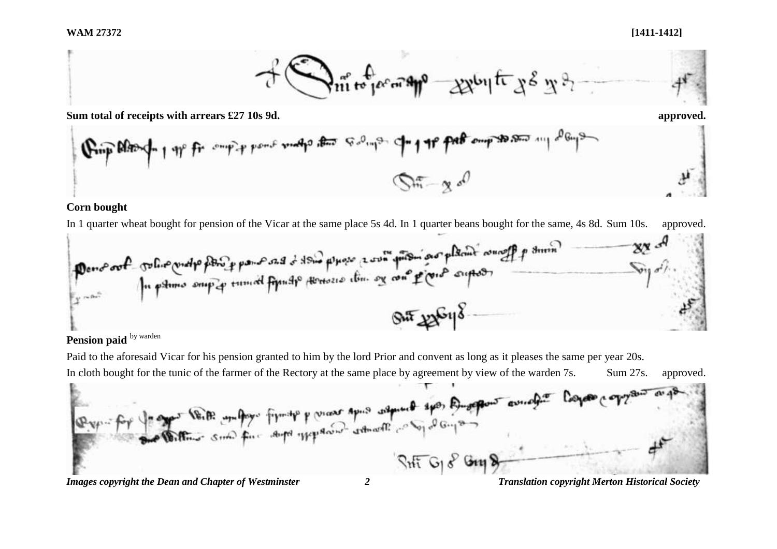

**Sum total of receipts with arrears £27 10s 9d. approved.**



### **Corn bought**

In 1 quarter wheat bought for pension of the Vicar at the same place 5s 4d. In 1 quarter beans bought for the same, 4s 8d. Sum 10s. approved.



# Pension paid **by warden**

Paid to the aforesaid Vicar for his pension granted to him by the lord Prior and convent as long as it pleases the same per year 20s.

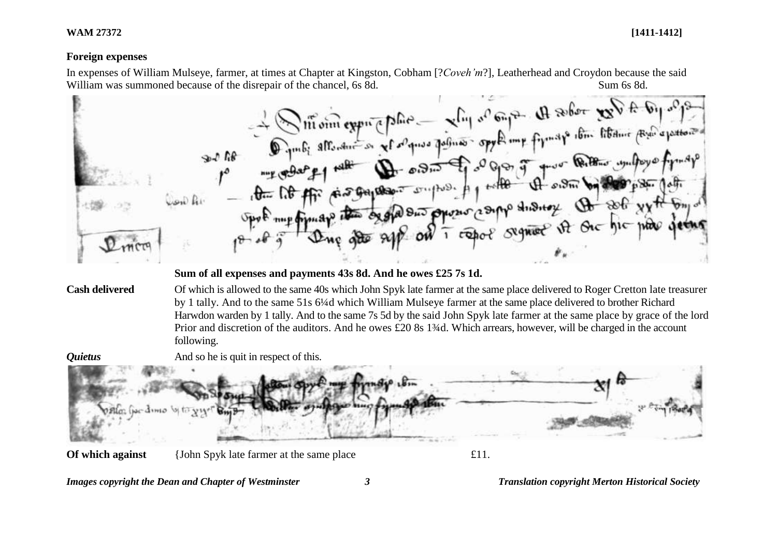**WAM 27372 [1411-1412]**

## **Foreign expenses**

In expenses of William Mulseye, farmer, at times at Chapter at Kingston, Cobham [?*Coveh'm*?], Leatherhead and Croydon because the said

William was summoned because of the disrepair of the chancel, 6s 8d. Sum 6s 8d.<br>
We will will allow the space of the disrepair of the chancel of the chancel of the chancel of the space of the chancel of the space of the ch the lit for significant surpress of when I was by the paper of the lit office as galaxies of phonographs shisting the soft xxth bing **Sum of all expenses and payments 43s 8d. And he owes £25 7s 1d. Cash delivered** Of which is allowed to the same 40s which John Spyk late farmer at the same place delivered to Roger Cretton late treasurer by 1 tally. And to the same 51s 6¼d which William Mulseye farmer at the same place delivered to brother Richard Harwdon warden by 1 tally. And to the same 7s 5d by the said John Spyk late farmer at the same place by grace of the lord Prior and discretion of the auditors. And he owes £20 8s 1¾d. Which arrears, however, will be charged in the account following. *Quietus* And so he is quit in respect of this.  $0.5$ llon (per d'une vite **Of which against** {John Spyk late farmer at the same place £11.

*Images copyright the Dean and Chapter of Westminster 3 Translation copyright Merton Historical Society*